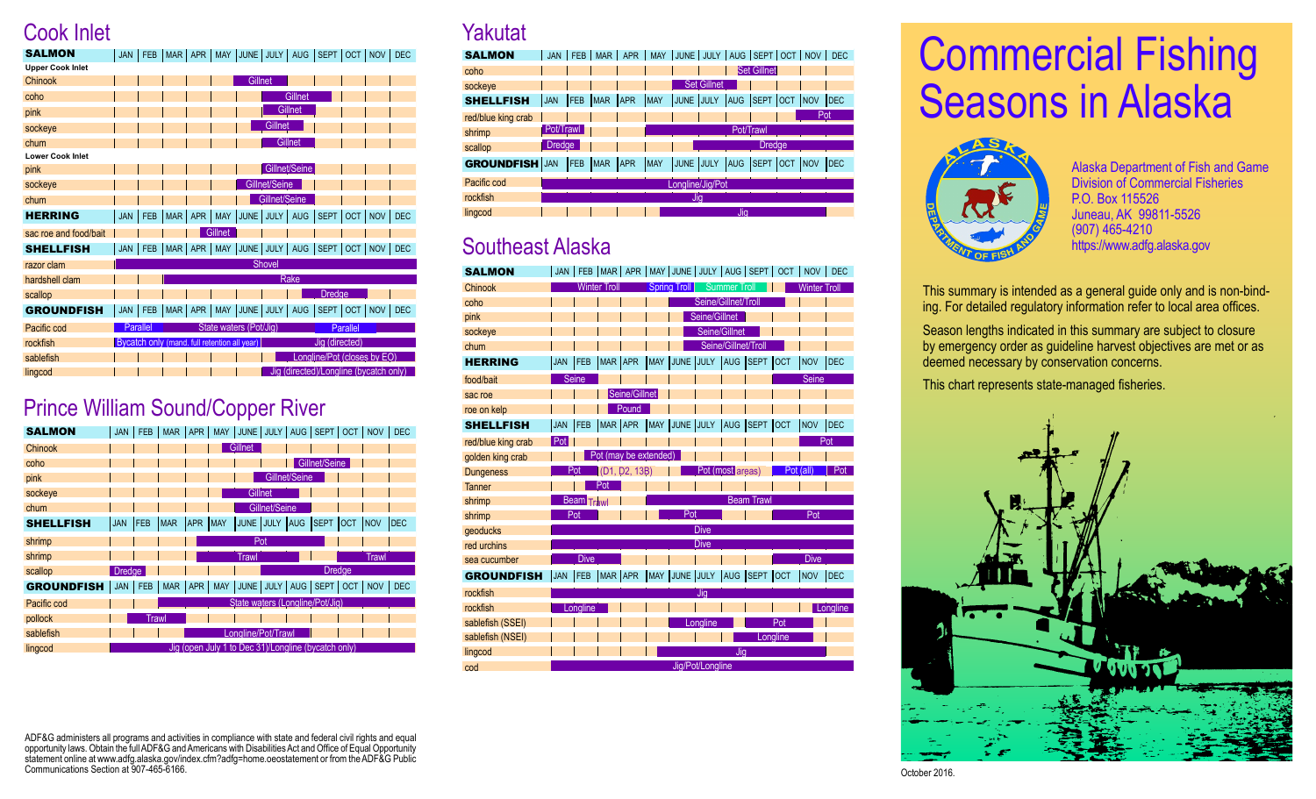#### Cook Inlet

| <b>SALMON</b>           | <b>JAN</b> | <b>FEB</b> | <b>MAR</b> | APR        |                                              | MAY JUNE JULY AUG      |               |               | SEPT                                   |            | OCT   NOV  | <b>DEC</b> |
|-------------------------|------------|------------|------------|------------|----------------------------------------------|------------------------|---------------|---------------|----------------------------------------|------------|------------|------------|
| <b>Upper Cook Inlet</b> |            |            |            |            |                                              |                        |               |               |                                        |            |            |            |
| Chinook                 |            |            |            |            |                                              | Gillnet                |               |               |                                        |            |            |            |
| coho                    |            |            |            |            |                                              |                        |               | Gillnet       |                                        |            |            |            |
| pink                    |            |            |            |            |                                              |                        |               | Gillnet       |                                        |            |            |            |
| sockeye                 |            |            |            |            |                                              |                        | Gillnet       |               |                                        |            |            |            |
| chum                    |            |            |            |            |                                              |                        |               | Gillnet       |                                        |            |            |            |
| <b>Lower Cook Inlet</b> |            |            |            |            |                                              |                        |               |               |                                        |            |            |            |
| pink                    |            |            |            |            |                                              |                        |               | Gillnet/Seine |                                        |            |            |            |
| sockeye                 |            |            |            |            |                                              |                        | Gillnet/Seine |               |                                        |            |            |            |
| chum                    |            |            |            |            |                                              |                        | Gillnet/Seine |               |                                        |            |            |            |
| <b>HERRING</b>          | <b>JAN</b> | <b>FEB</b> | <b>MAR</b> | <b>APR</b> | <b>MAY</b>                                   | JUNE                   | JULY   AUG    |               | SEPT                                   | <b>OCT</b> | <b>NOV</b> | <b>DEC</b> |
| sac roe and food/bait   |            |            |            |            | Gillnet                                      |                        |               |               |                                        |            |            |            |
| <b>SHELLFISH</b>        | <b>JAN</b> | <b>FEB</b> |            | MAR   APR  |                                              | MAY JUNE JULY AUG      |               |               | SEPT   OCT   NOV                       |            |            | <b>DEC</b> |
| razor clam              |            |            |            |            |                                              |                        | <b>Shovel</b> |               |                                        |            |            |            |
| hardshell clam          |            |            |            |            |                                              |                        |               | Rake          |                                        |            |            |            |
| scallop                 |            |            |            |            |                                              |                        |               |               | <b>Dredge</b>                          |            |            |            |
| <b>GROUNDFISH</b>       | <b>JAN</b> | FEB        | <b>MAR</b> | <b>APR</b> | <b>MAY</b>                                   | JUNE JULY              |               | <b>AUG</b>    | SEPT   OCT   NOV                       |            |            | <b>DEC</b> |
| Pacific cod             |            | Parallel   |            |            |                                              | State waters (Pot/Jig) |               |               |                                        | Parallel   |            |            |
| rockfish                |            |            |            |            | Bycatch only (mand. full retention all year) |                        |               |               | Jig (directed)                         |            |            |            |
| sablefish               |            |            |            |            |                                              |                        |               |               | Longline/Pot (closes by EO)            |            |            |            |
| lingcod                 |            |            |            |            |                                              |                        |               |               | Jig (directed)/Longline (bycatch only) |            |            |            |

#### Prince William Sound/Copper River

| <b>SALMON</b>     | <b>JAN</b>    | <b>FEB</b>   | <b>MAR</b> | <b>APR</b> |             |                     |               |               | MAY JUNE JULY AUG SEPT OCT NOV                      |               |              | <b>DEC</b> |
|-------------------|---------------|--------------|------------|------------|-------------|---------------------|---------------|---------------|-----------------------------------------------------|---------------|--------------|------------|
| Chinook           |               |              |            |            |             | Gillnet             |               |               |                                                     |               |              |            |
| coho              |               |              |            |            |             |                     |               |               | Gillnet/Seine                                       |               |              |            |
| pink              |               |              |            |            |             |                     |               | Gillnet/Seine |                                                     |               |              |            |
| sockeye           |               |              |            |            |             |                     | Gillnet       |               |                                                     |               |              |            |
| chum              |               |              |            |            |             |                     | Gillnet/Seine |               |                                                     |               |              |            |
| <b>SHELLFISH</b>  | <b>JAN</b>    | <b>FEB</b>   | <b>MAR</b> | <b>APR</b> | <b>IMAY</b> |                     | JUNE JULY AUG |               | <b>SEPT</b>                                         | <b>OCT</b>    | <b>INOV</b>  | <b>DEC</b> |
| shrimp            |               |              |            |            |             |                     | Pot           |               |                                                     |               |              |            |
| shrimp            |               |              |            |            |             | <b>Trawl</b>        |               |               |                                                     |               | <b>Trawl</b> |            |
| scallop           | <b>Dredge</b> |              |            |            |             |                     |               |               |                                                     | <b>Dredge</b> |              |            |
| <b>GROUNDFISH</b> | <b>JAN</b>    | <b>FEB</b>   | <b>MAR</b> | <b>APR</b> |             | MAY JUNE JULY   AUG |               |               | SEPT   OCT                                          |               | NOV          | <b>DEC</b> |
| Pacific cod       |               |              |            |            |             |                     |               |               | State waters (Longline/Pot/Jig)                     |               |              |            |
| pollock           |               | <b>Trawl</b> |            |            |             |                     |               |               |                                                     |               |              |            |
| sablefish         |               |              |            |            |             | Longline/Pot/Trawl  |               |               |                                                     |               |              |            |
| lingcod           |               |              |            |            |             |                     |               |               | Jig (open July 1 to Dec 31)/Longline (bycatch only) |               |              |            |

#### **Yakutat**

| <b>SALMON</b>         | <b>JAN</b>    | <b>FEB</b> | <b>MAR</b> | <b>APR</b> | <b>MAY</b> | JUNE JULY AUG SEPT OCT NOV |                    |            |                    |             | <b>DEC</b> |
|-----------------------|---------------|------------|------------|------------|------------|----------------------------|--------------------|------------|--------------------|-------------|------------|
| coho                  |               |            |            |            |            |                            |                    |            | <b>Set Gillnet</b> |             |            |
| sockeye               |               |            |            |            |            |                            | <b>Set Gillnet</b> |            |                    |             |            |
| <b>SHELLFISH</b>      | <b>JAN</b>    | <b>FEB</b> | <b>MAR</b> | APR        | MAY        | JUNE JULY                  |                    | <b>AUG</b> | <b>SEPT OCT</b>    | <b>INOV</b> | <b>DEC</b> |
| red/blue king crab    |               |            |            |            |            |                            |                    |            |                    | Pot         |            |
| shrimp                | Pot/Trawl     |            |            |            |            |                            |                    |            | Pot/Trawl          |             |            |
| scallop               | <b>Dredge</b> |            |            |            |            |                            |                    |            | <b>Dredae</b>      |             |            |
| <b>GROUNDFISH JAN</b> |               | <b>FEB</b> | <b>MAR</b> | <b>APR</b> | <b>MAY</b> | JUNE JULY                  |                    | <b>AUG</b> | <b>SEPT OCT</b>    | <b>INOV</b> | <b>DEC</b> |
| Pacific cod           |               |            |            |            |            | Longline/Jig/Pot           |                    |            |                    |             |            |
| rockfish              |               |            |            |            |            | Jig                        |                    |            |                    |             |            |
| lingcod               |               |            |            |            |            |                            |                    | Jia        |                    |             |            |

#### Southeast Alaska

| <b>SALMON</b>      | <b>JAN</b> | <b>FEB</b>        | MAR                 | APR                   |                        |                     |                     | MAY JUNE JULY   AUG   SEPT | OCT        | <b>NOV</b>          | <b>DEC</b> |
|--------------------|------------|-------------------|---------------------|-----------------------|------------------------|---------------------|---------------------|----------------------------|------------|---------------------|------------|
| Chinook            |            |                   | <b>Winter Troll</b> |                       | <b>Spring Troll</b>    |                     | <b>Summer Troll</b> |                            |            | <b>Winter Troll</b> |            |
| coho               |            |                   |                     |                       |                        | Seine/Gillnet/Troll |                     |                            |            |                     |            |
| pink               |            |                   |                     |                       |                        | Seine/Gillnet       |                     |                            |            |                     |            |
| sockeye            |            |                   |                     |                       |                        |                     | Seine/Gillnet       |                            |            |                     |            |
| chum               |            |                   |                     |                       |                        |                     | Seine/Gillnet/Troll |                            |            |                     |            |
| <b>HERRING</b>     | <b>JAN</b> | <b>FEB</b>        | MAR APR             |                       | MAY JUNE JULY          |                     | AUG SEPT            |                            | <b>OCT</b> | <b>NOV</b>          | <b>DEC</b> |
| food/bait          |            | <b>Seine</b>      |                     |                       |                        |                     |                     |                            |            | <b>Seine</b>        |            |
| sac roe            |            |                   |                     | Seine/Gillnet         |                        |                     |                     |                            |            |                     |            |
| roe on kelp        |            |                   |                     | Pound                 |                        |                     |                     |                            |            |                     |            |
| <b>SHELLFISH</b>   | <b>JAN</b> | FEB               | MAR APR             |                       | MAY JUNE JULY          |                     | <b>AUG</b>          | SEPT                       | OCT        | NOV                 | <b>DEC</b> |
| red/blue king crab | Pot        |                   |                     |                       |                        |                     |                     |                            |            |                     | Pot        |
| golden king crab   |            |                   |                     | Pot (may be extended) |                        |                     |                     |                            |            |                     |            |
| <b>Dungeness</b>   |            | Pot               |                     | (D1, D2, 13B)         |                        |                     | Pot (most areas)    |                            |            | Pot (all)           | Pot        |
| <b>Tanner</b>      |            |                   | Pot                 |                       |                        |                     |                     |                            |            |                     |            |
| shrimp             |            | <b>Beam</b> Trawl |                     |                       |                        |                     |                     | <b>Beam Trawl</b>          |            |                     |            |
| shrimp             |            | Pot               |                     |                       | Pot                    |                     |                     |                            |            | Pot                 |            |
| qeoducks           |            |                   |                     |                       |                        | <b>Dive</b>         |                     |                            |            |                     |            |
| red urchins        |            |                   |                     |                       |                        | <b>Dive</b>         |                     |                            |            |                     |            |
| sea cucumber       |            | Dive              |                     |                       |                        |                     |                     |                            |            | <b>Dive</b>         |            |
| <b>GROUNDFISH</b>  | <b>JAN</b> | <b>FEB</b>        | MAR APR             |                       | MAY JUNE JULY AUG SEPT |                     |                     |                            | <b>OCT</b> | <b>NOV</b>          | DEC        |

|  |          | Jıa      |     |                  |          |
|--|----------|----------|-----|------------------|----------|
|  |          |          |     |                  | Longline |
|  |          | Lonaline |     | Pot              |          |
|  |          |          |     | Lonaline         |          |
|  |          |          | Jıa |                  |          |
|  |          |          |     |                  |          |
|  | Longline |          |     | Jig/Pot/Longline |          |

# Commercial Fishing Seasons in Alaska



Alaska Department of Fish and Game Division of Commercial Fisheries P.O. Box 115526 Juneau, AK 99811-5526 (907) 465-4210 https://www.adfg.alaska.gov

This summary is intended as a general guide only and is non-binding. For detailed regulatory information refer to local area offices.

Season lengths indicated in this summary are subject to closure by emergency order as guideline harvest objectives are met or as deemed necessary by conservation concerns.

This chart represents state-managed fisheries.



ADF&G administers all programs and activities in compliance with state and federal civil rights and equal opportunity laws. Obtain the full ADF&G and Americans with Disabilities Act and Office of Equal Opportunity statement online at www.adfg.alaska.gov/index.cfm?adfg=home.oeostatement or from the ADF&G Public Communications Section at 907-465-6166.